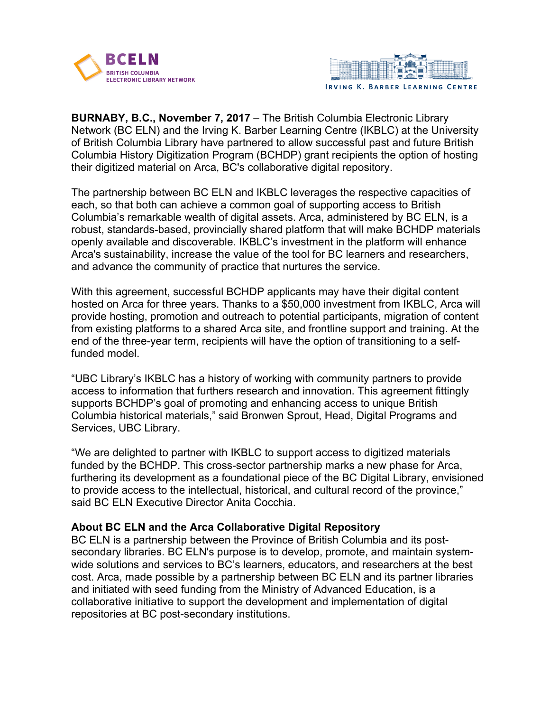



**BURNABY, B.C., November 7, 2017** – The British Columbia Electronic Library Network (BC ELN) and the Irving K. Barber Learning Centre (IKBLC) at the University of British Columbia Library have partnered to allow successful past and future British Columbia History Digitization Program (BCHDP) grant recipients the option of hosting their digitized material on Arca, BC's collaborative digital repository.

The partnership between BC ELN and IKBLC leverages the respective capacities of each, so that both can achieve a common goal of supporting access to British Columbia's remarkable wealth of digital assets. Arca, administered by BC ELN, is a robust, standards-based, provincially shared platform that will make BCHDP materials openly available and discoverable. IKBLC's investment in the platform will enhance Arca's sustainability, increase the value of the tool for BC learners and researchers, and advance the community of practice that nurtures the service.

With this agreement, successful BCHDP applicants may have their digital content hosted on Arca for three years. Thanks to a \$50,000 investment from IKBLC, Arca will provide hosting, promotion and outreach to potential participants, migration of content from existing platforms to a shared Arca site, and frontline support and training. At the end of the three-year term, recipients will have the option of transitioning to a selffunded model.

"UBC Library's IKBLC has a history of working with community partners to provide access to information that furthers research and innovation. This agreement fittingly supports BCHDP's goal of promoting and enhancing access to unique British Columbia historical materials," said Bronwen Sprout, Head, Digital Programs and Services, UBC Library.

"We are delighted to partner with IKBLC to support access to digitized materials funded by the BCHDP. This cross-sector partnership marks a new phase for Arca, furthering its development as a foundational piece of the BC Digital Library, envisioned to provide access to the intellectual, historical, and cultural record of the province," said BC ELN Executive Director Anita Cocchia.

#### **About BC ELN and the Arca Collaborative Digital Repository**

BC ELN is a partnership between the Province of British Columbia and its postsecondary libraries. BC ELN's purpose is to develop, promote, and maintain systemwide solutions and services to BC's learners, educators, and researchers at the best cost. Arca, made possible by a partnership between BC ELN and its partner libraries and initiated with seed funding from the Ministry of Advanced Education, is a collaborative initiative to support the development and implementation of digital repositories at BC post-secondary institutions.